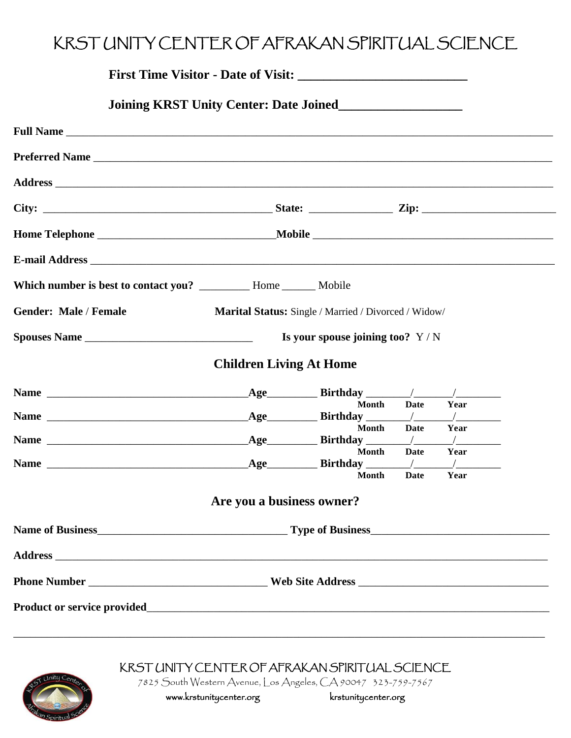## KRST UNITY CENTER OF AFRAKAN SPIRITUAL SCIENCE

|                                        |                                | First Time Visitor - Date of Visit:                  |      |                                                  |
|----------------------------------------|--------------------------------|------------------------------------------------------|------|--------------------------------------------------|
| Joining KRST Unity Center: Date Joined |                                |                                                      |      |                                                  |
|                                        |                                |                                                      |      |                                                  |
|                                        |                                |                                                      |      |                                                  |
|                                        |                                |                                                      |      |                                                  |
|                                        |                                |                                                      |      |                                                  |
|                                        |                                |                                                      |      |                                                  |
| E-mail Address                         |                                |                                                      |      |                                                  |
|                                        |                                |                                                      |      |                                                  |
|                                        |                                |                                                      |      |                                                  |
| Gender: Male / Female                  |                                | Marital Status: Single / Married / Divorced / Widow/ |      |                                                  |
|                                        |                                | Is your spouse joining too? $Y/N$                    |      |                                                  |
|                                        | <b>Children Living At Home</b> |                                                      |      |                                                  |
|                                        |                                |                                                      |      |                                                  |
|                                        |                                | <b>Month</b>                                         | Date | Year<br>$\frac{1}{2}$ . The set of $\frac{1}{2}$ |
|                                        |                                | <b>Month</b>                                         | Date | Year                                             |
|                                        |                                | <b>Month</b>                                         | Date | $\frac{1}{2}$<br>Year                            |
|                                        |                                | <b>Month</b>                                         | Date | $\sqrt{2}$<br>Year                               |
|                                        | Are you a business owner?      |                                                      |      |                                                  |
|                                        |                                |                                                      |      |                                                  |
|                                        |                                |                                                      |      |                                                  |
|                                        |                                |                                                      |      |                                                  |



## KRST UNITY CENTER OF AFRAKAN SPIRITUAL SCIENCE

7825 South Western Avenue, Los Angeles, CA 90047 323-759-7567

www.krstunitycenter.org krstunitycenter.org